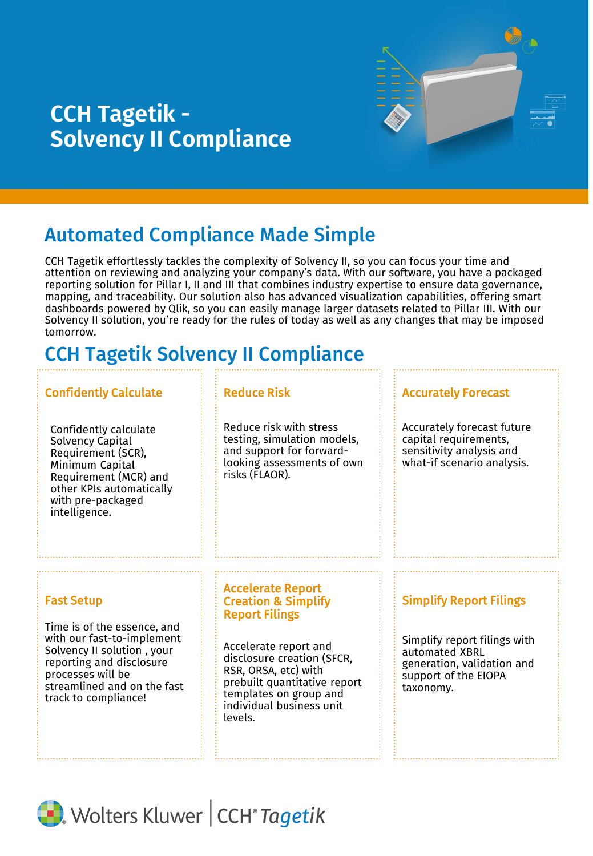# **CCH Tagetik - Solvency II Compliance**



# Automated Compliance Made Simple

CCH Tagetik effortlessly tackles the complexity of Solvency II, so you can focus your time and attention on reviewing and analyzing your company's data. With our software, you have a packaged reporting solution for Pillar I, II and III that combines industry expertise to ensure data governance, mapping, and traceability. Our solution also has advanced visualization capabilities, offering smart dashboards powered by Qlik, so you can easily manage larger datasets related to Pillar III. With our Solvency II solution, you're ready for the rules of today as well as any changes that may be imposed tomorrow.

# CCH Tagetik Solvency II Compliance

## Confidently Calculate **Reduce Risk**

Confidently calculate Solvency Capital Requirement (SCR), Minimum Capital Requirement (MCR) and other KPIs automatically with pre-packaged intelligence.

Reduce risk with stress testing, simulation models, and support for forwardlooking assessments of own risks (FLAOR).

#### Accurately Forecast

Accurately forecast future capital requirements, sensitivity analysis and what-if scenario analysis.

## Fast Setup

Time is of the essence, and with our fast-to-implement Solvency II solution , your reporting and disclosure processes will be streamlined and on the fast track to compliance!

#### Accelerate Report Creation & Simplify Report Filings

Accelerate report and disclosure creation (SFCR, RSR, ORSA, etc) with prebuilt quantitative report templates on group and individual business unit levels.

## Simplify Report Filings

Simplify report filings with automated XBRL generation, validation and support of the EIOPA taxonomy.